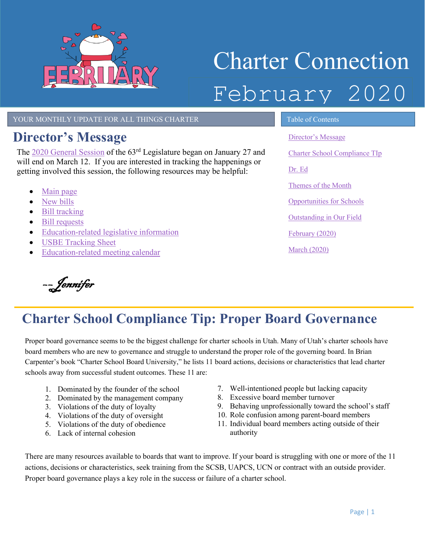

# Charter Connection February 2020

YOUR MONTHLY UPDATE FOR ALL THINGS CHARTER TABLE OF Contents

# <span id="page-0-0"></span>**Director's Message**

The [2020 General Session](https://le.utah.gov/%7E2020/2020.htm) of the 63<sup>rd</sup> Legislature began on January 27 and will end on March 12. If you are interested in tracking the happenings or getting involved this session, the following resources may be helpful:

- [Main page](https://le.utah.gov/)
- [New bills](https://le.utah.gov/asp/billTrack/newbills.asp)
- [Bill tracking](https://le.utah.gov/tracking/trackingLogin)
- [Bill requests](https://le.utah.gov/asp/billsintro/index.asp?year=2020GS)
- [Education-related legislative information](https://schools.utah.gov/policy/legislativesession)
- [USBE Tracking Sheet](https://usbe.sharepoint.com/sites/LegislativeCalendar/Shared%20Documents/EdBillTracking.pdf)
- [Education-related meeting calendar](https://usbe.sharepoint.com/sites/LegislativeCalendar/Lists/Legislature%20Education%20Tracking%20Calendar/calendar.aspx)

٦ ––Jennifer

[Director's Message](#page-0-0) Charter [School Compliance TIp](#page-0-1) [Dr. Ed](#page-1-0) Themes of the Month [Opportunities for Schools](#page-2-0)  [Outstanding in Our Field](#page-2-1) [February](#page-3-0) (2020) March [\(2020\)](#page-3-1)

#### <span id="page-0-1"></span>Ī **Charter School Compliance Tip: Proper Board Governance**

Proper board governance seems to be the biggest challenge for charter schools in Utah. Many of Utah's charter schools have board members who are new to governance and struggle to understand the proper role of the governing board. In Brian Carpenter's book "Charter School Board University," he lists 11 board actions, decisions or characteristics that lead charter schools away from successful student outcomes. These 11 are:

- 1. Dominated by the founder of the school
- 2. Dominated by the management company
- 3. Violations of the duty of loyalty
- 4. Violations of the duty of oversight
- 5. Violations of the duty of obedience
- 6. Lack of internal cohesion
- 7. Well-intentioned people but lacking capacity
- 8. Excessive board member turnover
- 9. Behaving unprofessionally toward the school's staff
- 10. Role confusion among parent-board members
- 11. Individual board members acting outside of their authority

There are many resources available to boards that want to improve. If your board is struggling with one or more of the 11 actions, decisions or characteristics, seek training from the SCSB, UAPCS, UCN or contract with an outside provider. Proper board governance plays a key role in the success or failure of a charter school.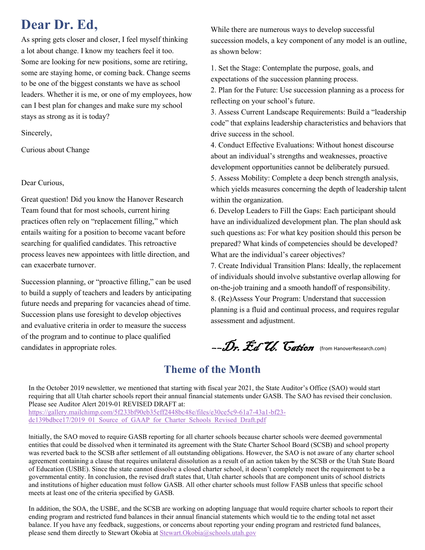# <span id="page-1-0"></span>**Dear Dr. Ed,**

As spring gets closer and closer, I feel myself thinking a lot about change. I know my teachers feel it too. Some are looking for new positions, some are retiring, some are staying home, or coming back. Change seems to be one of the biggest constants we have as school leaders. Whether it is me, or one of my employees, how can I best plan for changes and make sure my school stays as strong as it is today?

Sincerely,

Curious about Change

#### Dear Curious,

Great question! Did you know the Hanover Research Team found that for most schools, current hiring practices often rely on "replacement filling," which entails waiting for a position to become vacant before searching for qualified candidates. This retroactive process leaves new appointees with little direction, and can exacerbate turnover.

Succession planning, or "proactive filling," can be used to build a supply of teachers and leaders by anticipating future needs and preparing for vacancies ahead of time. Succession plans use foresight to develop objectives and evaluative criteria in order to measure the success of the program and to continue to place qualified candidates in appropriate roles.

While there are numerous ways to develop successful succession models, a key component of any model is an outline, as shown below:

1. Set the Stage: Contemplate the purpose, goals, and expectations of the succession planning process.

2. Plan for the Future: Use succession planning as a process for reflecting on your school's future.

3. Assess Current Landscape Requirements: Build a "leadership code" that explains leadership characteristics and behaviors that drive success in the school.

4. Conduct Effective Evaluations: Without honest discourse about an individual's strengths and weaknesses, proactive development opportunities cannot be deliberately pursued. 5. Assess Mobility: Complete a deep bench strength analysis, which yields measures concerning the depth of leadership talent within the organization.

6. Develop Leaders to Fill the Gaps: Each participant should have an individualized development plan. The plan should ask such questions as: For what key position should this person be prepared? What kinds of competencies should be developed? What are the individual's career objectives?

7. Create Individual Transition Plans: Ideally, the replacement of individuals should involve substantive overlap allowing for on‐the‐job training and a smooth handoff of responsibility. 8. (Re)Assess Your Program: Understand that succession planning is a fluid and continual process, and requires regular assessment and adjustment.

––Dr. Ed U. Cation (from HanoverResearch.com)

### **Theme of the Month**

In the October 2019 newsletter, we mentioned that starting with fiscal year 2021, the State Auditor's Office (SAO) would start requiring that all Utah charter schools report their annual financial statements under GASB. The SAO has revised their conclusion. Please see Auditor Alert 2019-01 REVISED DRAFT at: [https://gallery.mailchimp.com/5f233bf90eb35eff2448bc48e/files/e30ce5c9-61a7-43a1-bf23-](https://gallery.mailchimp.com/5f233bf90eb35eff2448bc48e/files/e30ce5c9-61a7-43a1-bf23-dc139bdbce17/2019_01_Source_of_GAAP_for_Charter_Schools_Revised_Draft.pdf)

[dc139bdbce17/2019\\_01\\_Source\\_of\\_GAAP\\_for\\_Charter\\_Schools\\_Revised\\_Draft.pdf](https://gallery.mailchimp.com/5f233bf90eb35eff2448bc48e/files/e30ce5c9-61a7-43a1-bf23-dc139bdbce17/2019_01_Source_of_GAAP_for_Charter_Schools_Revised_Draft.pdf)

Initially, the SAO moved to require GASB reporting for all charter schools because charter schools were deemed governmental entities that could be dissolved when it terminated its agreement with the State Charter School Board (SCSB) and school property was reverted back to the SCSB after settlement of all outstanding obligations. However, the SAO is not aware of any charter school agreement containing a clause that requires unilateral dissolution as a result of an action taken by the SCSB or the Utah State Board of Education (USBE). Since the state cannot dissolve a closed charter school, it doesn't completely meet the requirement to be a governmental entity. In conclusion, the revised draft states that, Utah charter schools that are component units of school districts and institutions of higher education must follow GASB. All other charter schools must follow FASB unless that specific school meets at least one of the criteria specified by GASB.

In addition, the SOA, the USBE, and the SCSB are working on adopting language that would require charter schools to report their ending program and restricted fund balances in their annual financial statements which would tie to the ending total net asset balance. If you have any feedback, suggestions, or concerns about reporting your ending program and restricted fund balances, please send them directly to Stewart Okobia at [Stewart.Okobia@schools.utah.gov](mailto:Stewart.Okobia@schools.utah.gov)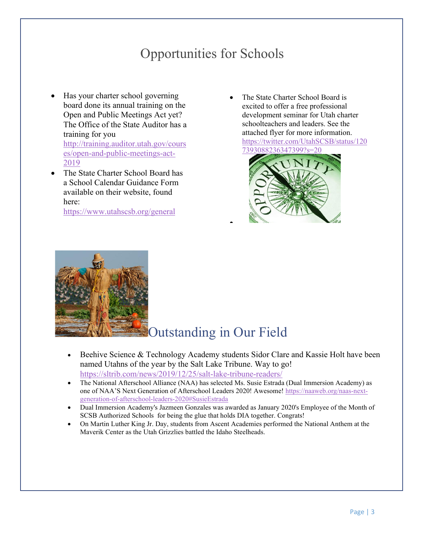# Opportunities for Schools

- <span id="page-2-0"></span>• Has your charter school governing board done its annual training on the Open and Public Meetings Act yet? The Office of the State Auditor has a training for you [http://training.auditor.utah.gov/cours](http://training.auditor.utah.gov/courses/open-and-public-meetings-act-2019) [es/open-and-public-meetings-act-](http://training.auditor.utah.gov/courses/open-and-public-meetings-act-2019)[2019](http://training.auditor.utah.gov/courses/open-and-public-meetings-act-2019)
- The State Charter School Board has a School Calendar Guidance Form available on their website, found here:

<https://www.utahscsb.org/general>

• The State Charter School Board is excited to offer a free professional development seminar for Utah charter schoolteachers and leaders. See the attached flyer for more information. [https://twitter.com/UtahSCSB/status/120](https://twitter.com/UtahSCSB/status/1207393088236347399?s=20) [7393088236347399?s=20](https://twitter.com/UtahSCSB/status/1207393088236347399?s=20) 





# <span id="page-2-1"></span>Outstanding in Our Field

Beehive Science & Technology Academy students Sidor Clare and Kassie Holt have been named Utahns of the year by the Salt Lake Tribune. Way to go! <https://sltrib.com/news/2019/12/25/salt-lake-tribune-readers/>

•

- The National Afterschool Alliance (NAA) has selected Ms. Susie Estrada (Dual Immersion Academy) as one of NAA'S Next Generation of Afterschool Leaders 2020! Awesome! [https://naaweb.org/naas-next](https://naaweb.org/naas-next-generation-of-afterschool-leaders-2020#SusieEstrada)[generation-of-afterschool-leaders-2020#SusieEstrada](https://naaweb.org/naas-next-generation-of-afterschool-leaders-2020#SusieEstrada)
- Dual Immersion Academy's Jazmeen Gonzales was awarded as January 2020's Employee of the Month of SCSB Authorized Schools for being the glue that holds DIA together. Congrats!
- On Martin Luther King Jr. Day, students from Ascent Academies performed the National Anthem at the Maverik Center as the Utah Grizzlies battled the Idaho Steelheads.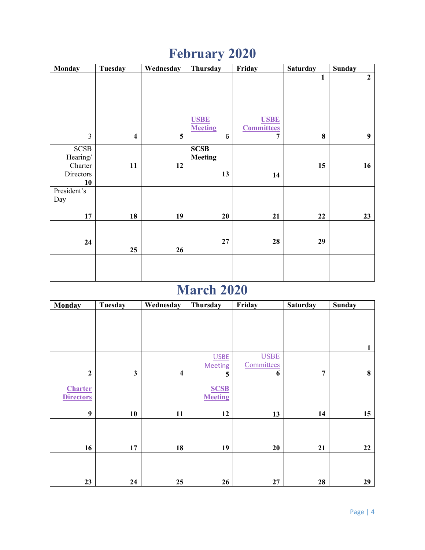# **February 2020**

<span id="page-3-0"></span>

| Monday         | <b>Tuesday</b>          | Wednesday               | Thursday       | Friday            | Saturday     | <b>Sunday</b>  |
|----------------|-------------------------|-------------------------|----------------|-------------------|--------------|----------------|
|                |                         |                         |                |                   | $\mathbf{1}$ | $\overline{2}$ |
|                |                         |                         |                |                   |              |                |
|                |                         |                         |                |                   |              |                |
|                |                         |                         |                |                   |              |                |
|                |                         |                         |                |                   |              |                |
|                |                         |                         | <b>USBE</b>    | <b>USBE</b>       |              |                |
|                |                         |                         | <b>Meeting</b> | <b>Committees</b> |              |                |
| $\overline{3}$ | $\overline{\mathbf{4}}$ | $\overline{\mathbf{5}}$ | 6              | $\overline{7}$    | 8            | 9              |
| $SCSB$         |                         |                         | <b>SCSB</b>    |                   |              |                |
| Hearing/       |                         |                         | <b>Meeting</b> |                   |              |                |
| Charter        | 11                      | 12                      |                |                   | 15           | 16             |
| Directors      |                         |                         | 13             | 14                |              |                |
| 10             |                         |                         |                |                   |              |                |
| President's    |                         |                         |                |                   |              |                |
| Day            |                         |                         |                |                   |              |                |
|                |                         |                         |                |                   |              |                |
| $17\,$         | 18                      | 19                      | 20             | 21                | 22           | 23             |
|                |                         |                         |                |                   |              |                |
|                |                         |                         |                |                   |              |                |
| 24             |                         |                         | 27             | 28                | 29           |                |
|                | 25                      | 26                      |                |                   |              |                |
|                |                         |                         |                |                   |              |                |
|                |                         |                         |                |                   |              |                |
|                |                         |                         |                |                   |              |                |

# **March 2020**

<span id="page-3-1"></span>

| <b>Monday</b>    | <b>Tuesday</b> | Wednesday               | Thursday       | Friday      | <b>Saturday</b> | <b>Sunday</b> |
|------------------|----------------|-------------------------|----------------|-------------|-----------------|---------------|
|                  |                |                         |                |             |                 |               |
|                  |                |                         |                |             |                 |               |
|                  |                |                         |                |             |                 |               |
|                  |                |                         |                |             |                 | 1             |
|                  |                |                         | <b>USBE</b>    | <b>USBE</b> |                 |               |
|                  |                |                         | <b>Meeting</b> | Committees  |                 |               |
| $\mathbf{2}$     | $\mathbf{3}$   | $\overline{\mathbf{4}}$ | 5              | 6           | $\overline{7}$  | 8             |
| <b>Charter</b>   |                |                         | <b>SCSB</b>    |             |                 |               |
| <b>Directors</b> |                |                         | <b>Meeting</b> |             |                 |               |
| 9                | 10             | 11                      | 12             | 13          | 14              | 15            |
|                  |                |                         |                |             |                 |               |
|                  |                |                         |                |             |                 |               |
| 16               | 17             | 18                      | 19             | 20          | 21              | 22            |
|                  |                |                         |                |             |                 |               |
|                  |                |                         |                |             |                 |               |
|                  |                |                         |                |             |                 |               |
| 23               | 24             | 25                      | 26             | 27          | 28              | 29            |